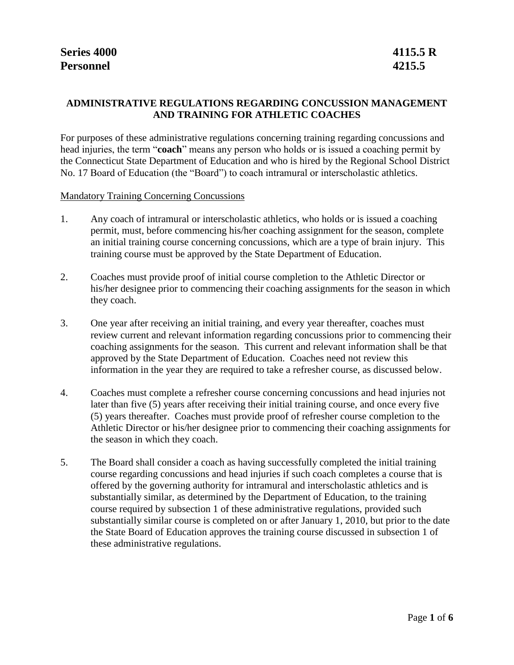# **ADMINISTRATIVE REGULATIONS REGARDING CONCUSSION MANAGEMENT AND TRAINING FOR ATHLETIC COACHES**

For purposes of these administrative regulations concerning training regarding concussions and head injuries, the term "**coach**" means any person who holds or is issued a coaching permit by the Connecticut State Department of Education and who is hired by the Regional School District No. 17 Board of Education (the "Board") to coach intramural or interscholastic athletics.

Mandatory Training Concerning Concussions

- 1. Any coach of intramural or interscholastic athletics, who holds or is issued a coaching permit, must, before commencing his/her coaching assignment for the season, complete an initial training course concerning concussions, which are a type of brain injury. This training course must be approved by the State Department of Education.
- 2. Coaches must provide proof of initial course completion to the Athletic Director or his/her designee prior to commencing their coaching assignments for the season in which they coach.
- 3. One year after receiving an initial training, and every year thereafter, coaches must review current and relevant information regarding concussions prior to commencing their coaching assignments for the season. This current and relevant information shall be that approved by the State Department of Education. Coaches need not review this information in the year they are required to take a refresher course, as discussed below.
- 4. Coaches must complete a refresher course concerning concussions and head injuries not later than five (5) years after receiving their initial training course, and once every five (5) years thereafter. Coaches must provide proof of refresher course completion to the Athletic Director or his/her designee prior to commencing their coaching assignments for the season in which they coach.
- 5. The Board shall consider a coach as having successfully completed the initial training course regarding concussions and head injuries if such coach completes a course that is offered by the governing authority for intramural and interscholastic athletics and is substantially similar, as determined by the Department of Education, to the training course required by subsection 1 of these administrative regulations, provided such substantially similar course is completed on or after January 1, 2010, but prior to the date the State Board of Education approves the training course discussed in subsection 1 of these administrative regulations.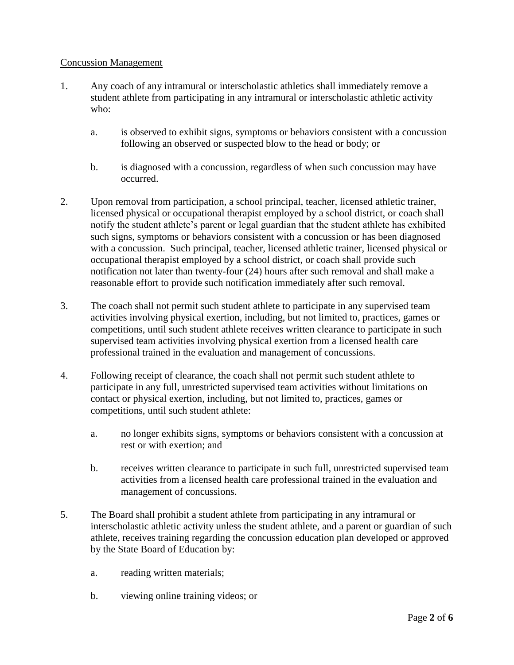## Concussion Management

- 1. Any coach of any intramural or interscholastic athletics shall immediately remove a student athlete from participating in any intramural or interscholastic athletic activity who:
	- a. is observed to exhibit signs, symptoms or behaviors consistent with a concussion following an observed or suspected blow to the head or body; or
	- b. is diagnosed with a concussion, regardless of when such concussion may have occurred.
- 2. Upon removal from participation, a school principal, teacher, licensed athletic trainer, licensed physical or occupational therapist employed by a school district, or coach shall notify the student athlete's parent or legal guardian that the student athlete has exhibited such signs, symptoms or behaviors consistent with a concussion or has been diagnosed with a concussion. Such principal, teacher, licensed athletic trainer, licensed physical or occupational therapist employed by a school district, or coach shall provide such notification not later than twenty-four (24) hours after such removal and shall make a reasonable effort to provide such notification immediately after such removal.
- 3. The coach shall not permit such student athlete to participate in any supervised team activities involving physical exertion, including, but not limited to, practices, games or competitions, until such student athlete receives written clearance to participate in such supervised team activities involving physical exertion from a licensed health care professional trained in the evaluation and management of concussions.
- 4. Following receipt of clearance, the coach shall not permit such student athlete to participate in any full, unrestricted supervised team activities without limitations on contact or physical exertion, including, but not limited to, practices, games or competitions, until such student athlete:
	- a. no longer exhibits signs, symptoms or behaviors consistent with a concussion at rest or with exertion; and
	- b. receives written clearance to participate in such full, unrestricted supervised team activities from a licensed health care professional trained in the evaluation and management of concussions.
- 5. The Board shall prohibit a student athlete from participating in any intramural or interscholastic athletic activity unless the student athlete, and a parent or guardian of such athlete, receives training regarding the concussion education plan developed or approved by the State Board of Education by:
	- a. reading written materials;
	- b. viewing online training videos; or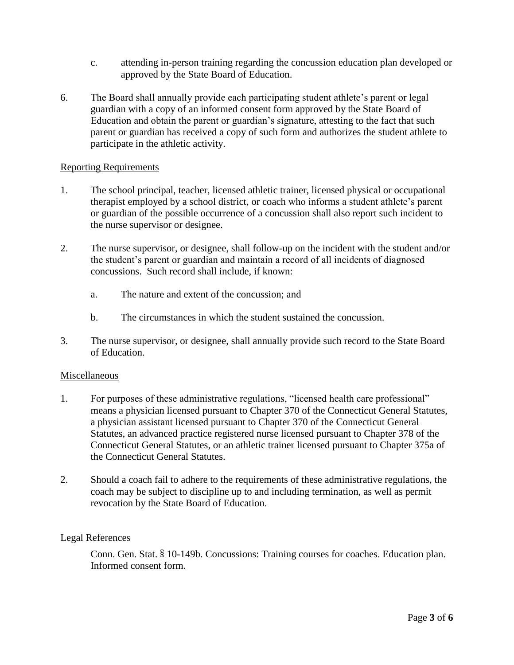- c. attending in-person training regarding the concussion education plan developed or approved by the State Board of Education.
- 6. The Board shall annually provide each participating student athlete's parent or legal guardian with a copy of an informed consent form approved by the State Board of Education and obtain the parent or guardian's signature, attesting to the fact that such parent or guardian has received a copy of such form and authorizes the student athlete to participate in the athletic activity.

### Reporting Requirements

- 1. The school principal, teacher, licensed athletic trainer, licensed physical or occupational therapist employed by a school district, or coach who informs a student athlete's parent or guardian of the possible occurrence of a concussion shall also report such incident to the nurse supervisor or designee.
- 2. The nurse supervisor, or designee, shall follow-up on the incident with the student and/or the student's parent or guardian and maintain a record of all incidents of diagnosed concussions. Such record shall include, if known:
	- a. The nature and extent of the concussion; and
	- b. The circumstances in which the student sustained the concussion.
- 3. The nurse supervisor, or designee, shall annually provide such record to the State Board of Education.

#### Miscellaneous

- 1. For purposes of these administrative regulations, "licensed health care professional" means a physician licensed pursuant to Chapter 370 of the Connecticut General Statutes, a physician assistant licensed pursuant to Chapter 370 of the Connecticut General Statutes, an advanced practice registered nurse licensed pursuant to Chapter 378 of the Connecticut General Statutes, or an athletic trainer licensed pursuant to Chapter 375a of the Connecticut General Statutes.
- 2. Should a coach fail to adhere to the requirements of these administrative regulations, the coach may be subject to discipline up to and including termination, as well as permit revocation by the State Board of Education.

## Legal References

Conn. Gen. Stat. § 10-149b. Concussions: Training courses for coaches. Education plan. Informed consent form.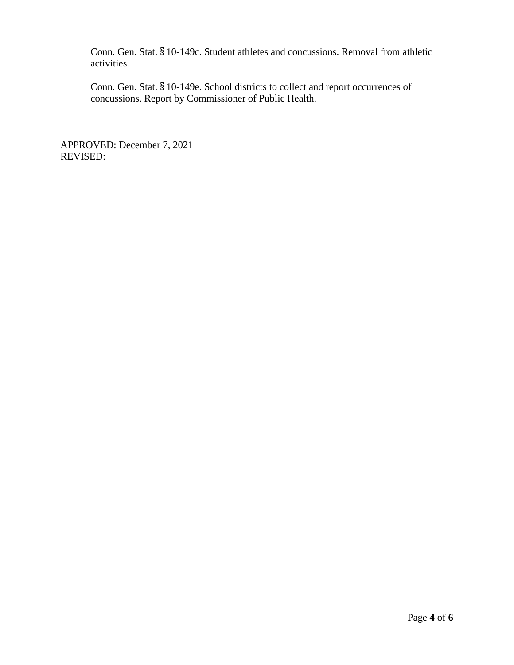Conn. Gen. Stat. § 10-149c. Student athletes and concussions. Removal from athletic activities.

Conn. Gen. Stat. § 10-149e. School districts to collect and report occurrences of concussions. Report by Commissioner of Public Health.

APPROVED: December 7, 2021 REVISED: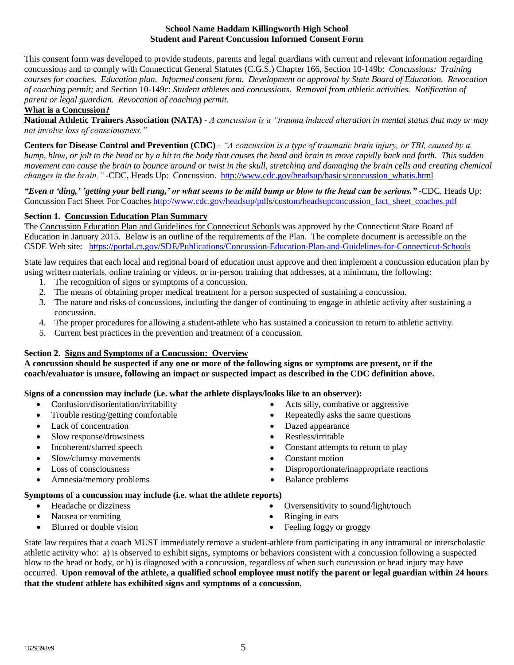#### **School Name Haddam Killingworth High School Student and Parent Concussion Informed Consent Form**

This consent form was developed to provide students, parents and legal guardians with current and relevant information regarding concussions and to comply with Connecticut General Statutes (C.G.S.) Chapter 166, Section 10-149b: *Concussions: Training courses for coaches. Education plan. Informed consent form. Development or approval by State Board of Education. Revocation of coaching permit;* and Section 10-149c: *Student athletes and concussions. Removal from athletic activities. Notification of parent or legal guardian. Revocation of coaching permit.*

#### **What is a Concussion?**

**National Athletic Trainers Association (NATA)** - *A concussion is a "trauma induced alteration in mental status that may or may not involve loss of consciousness."*

**Centers for Disease Control and Prevention (CDC)** - *"A concussion is a type of traumatic brain injury, or TBI, caused by a bump, blow, or jolt to the head or by a hit to the body that causes the head and brain to move rapidly back and forth. This sudden movement can cause the brain to bounce around or twist in the skull, stretching and damaging the brain cells and creating chemical*  changes in the brain." -CDC, Heads Up: Concussion. [http://www.cdc.gov/headsup/basics/concussion\\_whatis.html](http://www.cdc.gov/headsup/basics/concussion_whatis.html)

*"Even a 'ding,' 'getting your bell rung,' or what seems to be mild bump or blow to the head can be serious."* -CDC, Heads Up: Concussion Fact Sheet For Coache[s http://www.cdc.gov/headsup/pdfs/custom/headsupconcussion\\_fact\\_sheet\\_coaches.pdf](http://www.cdc.gov/headsup/pdfs/custom/headsupconcussion_fact_sheet_coaches.pdf)

### **Section 1. Concussion Education Plan Summary**

The Concussion Education Plan and Guidelines for Connecticut Schools was approved by the Connecticut State Board of Education in January 2015. Below is an outline of the requirements of the Plan. The complete document is accessible on the CSDE Web site: <https://portal.ct.gov/SDE/Publications/Concussion-Education-Plan-and-Guidelines-for-Connecticut-Schools>

State law requires that each local and regional board of education must approve and then implement a concussion education plan by using written materials, online training or videos, or in-person training that addresses, at a minimum, the following:

- 1. The recognition of signs or symptoms of a concussion.
- 2. The means of obtaining proper medical treatment for a person suspected of sustaining a concussion.
- 3. The nature and risks of concussions, including the danger of continuing to engage in athletic activity after sustaining a concussion.
- 4. The proper procedures for allowing a student-athlete who has sustained a concussion to return to athletic activity.
- 5. Current best practices in the prevention and treatment of a concussion.

#### **Section 2. Signs and Symptoms of a Concussion: Overview**

**A concussion should be suspected if any one or more of the following signs or symptoms are present, or if the coach/evaluator is unsure, following an impact or suspected impact as described in the CDC definition above.**

#### **Signs of a concussion may include (i.e. what the athlete displays/looks like to an observer):**

- Confusion/disorientation/irritability Acts silly, combative or aggressive
- 
- Lack of concentration Dazed appearance
- Slow response/drowsiness Restless/irritable
- 
- Slow/clumsy movements Constant motion
- 
- Amnesia/memory problems <br>
Balance problems
- 
- Trouble resting/getting comfortable **Compared Figure 3** Repeatedly asks the same questions
	-
	-
- Incoherent/slurred speech **Constant attempts to return to play** 
	-
- Loss of consciousness Disproportionate/inappropriate reactions
	-

#### **Symptoms of a concussion may include (i.e. what the athlete reports)**

- 
- Nausea or vomiting <br>• Ringing in ears
- Blurred or double vision **Feeling foggy** or groggy
- Headache or dizziness **COVERGING COVERGING COVERGING COVERGING COVERGING COVERGING COVERGING COVERGING COVERGING CONTROLLER COVERGING COVERGING COVERGING COVERGING COVERGING COVERGING COVERGING COVERGING COVERGING COVERG** 
	-
	-

State law requires that a coach MUST immediately remove a student-athlete from participating in any intramural or interscholastic athletic activity who: a) is observed to exhibit signs, symptoms or behaviors consistent with a concussion following a suspected blow to the head or body, or b) is diagnosed with a concussion, regardless of when such concussion or head injury may have occurred. **Upon removal of the athlete, a qualified school employee must notify the parent or legal guardian within 24 hours that the student athlete has exhibited signs and symptoms of a concussion.**